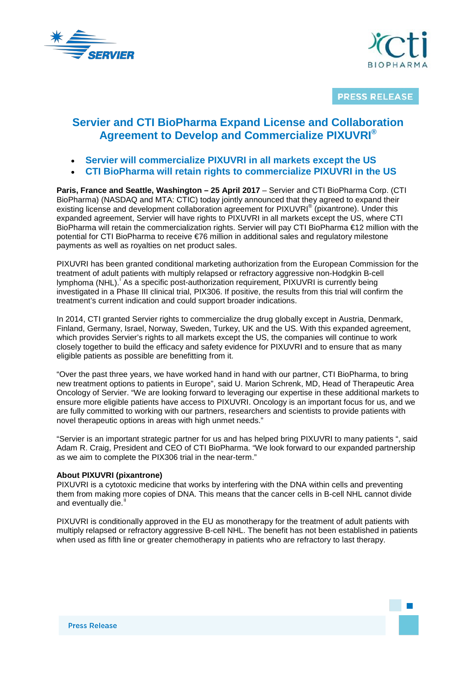



**PRESS RELEASE** 

# **Servier and CTI BioPharma Expand License and Collaboration Agreement to Develop and Commercialize PIXUVRI®**

- **Servier will commercialize PIXUVRI in all markets except the US**
- **CTI BioPharma will retain rights to commercialize PIXUVRI in the US**

**Paris, France and Seattle, Washington – 25 April 2017** – Servier and CTI BioPharma Corp. (CTI BioPharma) (NASDAQ and MTA: CTIC) today jointly announced that they agreed to expand their existing license and development collaboration agreement for PIXUVRI<sup>®</sup> (pixantrone). Under this expanded agreement, Servier will have rights to PIXUVRI in all markets except the US, where CTI BioPharma will retain the commercialization rights. Servier will pay CTI BioPharma €12 million with the potential for CTI BioPharma to receive €76 million in additional sales and regulatory milestone payments as well as royalties on net product sales.

PIXUVRI has been granted conditional marketing authorization from the European Commission for the treatment of adult patients with multiply relapsed or refractory aggressive non-Hodgkin B-cell lymphoma (NHL).<sup>[i](#page-2-0)</sup> As a specific post-authorization requirement, PIXUVRI is currently being investigated in a Phase III clinical trial, PIX306. If positive, the results from this trial will confirm the treatment's current indication and could support broader indications.

In 2014, CTI granted Servier rights to commercialize the drug globally except in Austria, Denmark, Finland, Germany, Israel, Norway, Sweden, Turkey, UK and the US. With this expanded agreement, which provides Servier's rights to all markets except the US, the companies will continue to work closely together to build the efficacy and safety evidence for PIXUVRI and to ensure that as many eligible patients as possible are benefitting from it.

"Over the past three years, we have worked hand in hand with our partner, CTI BioPharma, to bring new treatment options to patients in Europe", said U. Marion Schrenk, MD, Head of Therapeutic Area Oncology of Servier. "We are looking forward to leveraging our expertise in these additional markets to ensure more eligible patients have access to PIXUVRI. Oncology is an important focus for us, and we are fully committed to working with our partners, researchers and scientists to provide patients with novel therapeutic options in areas with high unmet needs."

"Servier is an important strategic partner for us and has helped bring PIXUVRI to many patients ", said Adam R. Craig, President and CEO of CTI BioPharma. "We look forward to our expanded partnership as we aim to complete the PIX306 trial in the near-term."

# **About PIXUVRI (pixantrone)**

PIXUVRI is a cytotoxic medicine that works by interfering with the DNA within cells and preventing them from making more copies of DNA. This means that the cancer cells in B-cell NHL cannot divide and eventually die.<sup>[ii](#page-2-1)</sup>

PIXUVRI is conditionally approved in the EU as monotherapy for the treatment of adult patients with multiply relapsed or refractory aggressive B-cell NHL. The benefit has not been established in patients when used as fifth line or greater chemotherapy in patients who are refractory to last therapy.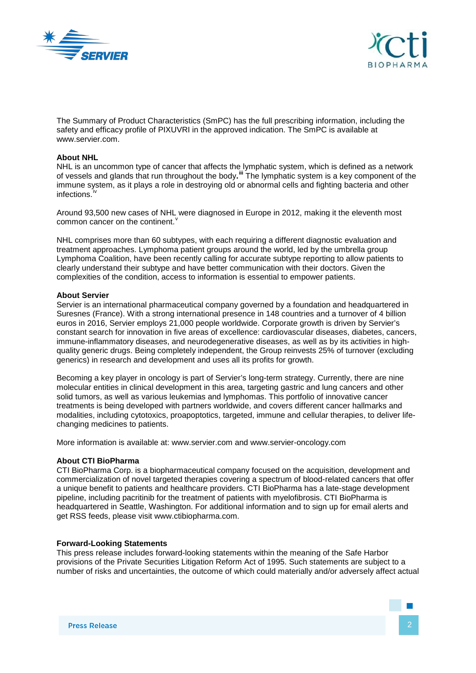



The Summary of Product Characteristics (SmPC) has the full prescribing information, including the safety and efficacy profile of PIXUVRI in the approved indication. The SmPC is available at www.servier.com.

# **About NHL**

NHL is an uncommon type of cancer that affects the lymphatic system, which is defined as a network of vessels and glands that run throughout the body**. [iii](#page-2-2)** The lymphatic system is a key component of the immune system, as it plays a role in destroying old or abnormal cells and fighting bacteria and other infections.

Around 93,500 new cases of NHL were diagnosed in Europe in 2012, making it the eleventh most common cancer on the continent.

NHL comprises more than 60 subtypes, with each requiring a different diagnostic evaluation and treatment approaches. Lymphoma patient groups around the world, led by the umbrella group Lymphoma Coalition, have been recently calling for accurate subtype reporting to allow patients to clearly understand their subtype and have better communication with their doctors. Given the complexities of the condition, access to information is essential to empower patients.

# **About Servier**

Servier is an international pharmaceutical company governed by a foundation and headquartered in Suresnes (France). With a strong international presence in 148 countries and a turnover of 4 billion euros in 2016, Servier employs 21,000 people worldwide. Corporate growth is driven by Servier's constant search for innovation in five areas of excellence: cardiovascular diseases, diabetes, cancers, immune-inflammatory diseases, and neurodegenerative diseases, as well as by its activities in highquality generic drugs. Being completely independent, the Group reinvests 25% of turnover (excluding generics) in research and development and uses all its profits for growth.

Becoming a key player in oncology is part of Servier's long-term strategy. Currently, there are nine molecular entities in clinical development in this area, targeting gastric and lung cancers and other solid tumors, as well as various leukemias and lymphomas. This portfolio of innovative cancer treatments is being developed with partners worldwide, and covers different cancer hallmarks and modalities, including cytotoxics, proapoptotics, targeted, immune and cellular therapies, to deliver lifechanging medicines to patients.

More information is available at: www.servier.com and www.servier-oncology.com

# **About CTI BioPharma**

CTI BioPharma Corp. is a biopharmaceutical company focused on the acquisition, development and commercialization of novel targeted therapies covering a spectrum of blood-related cancers that offer a unique benefit to patients and healthcare providers. CTI BioPharma has a late-stage development pipeline, including pacritinib for the treatment of patients with myelofibrosis. CTI BioPharma is headquartered in Seattle, Washington. For additional information and to sign up for email alerts and get RSS feeds, please visit www.ctibiopharma.com.

# **Forward-Looking Statements**

This press release includes forward-looking statements within the meaning of the Safe Harbor provisions of the Private Securities Litigation Reform Act of 1995. Such statements are subject to a number of risks and uncertainties, the outcome of which could materially and/or adversely affect actual